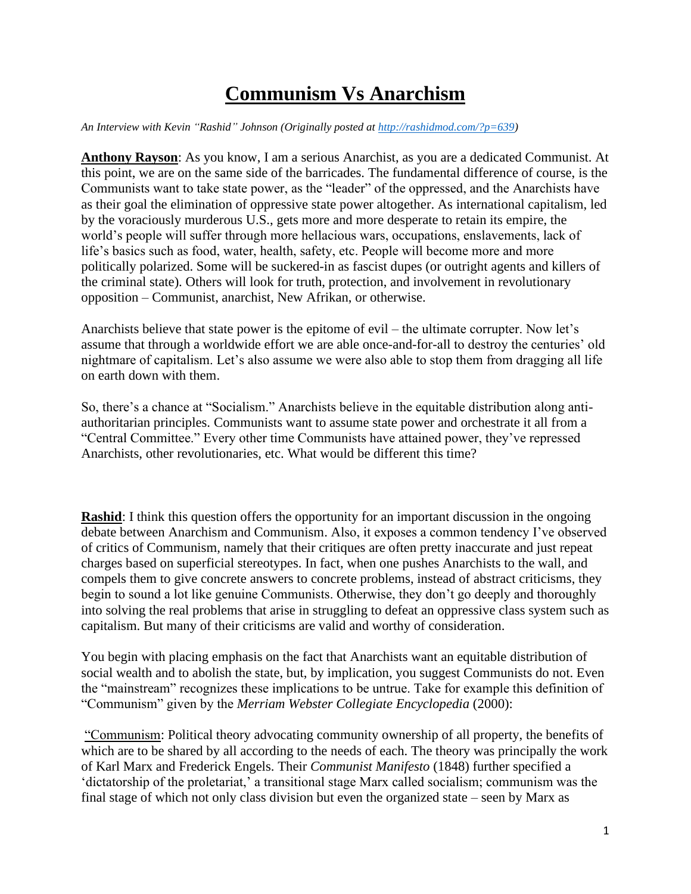## **Communism Vs Anarchism**

## *An Interview with Kevin "Rashid" Johnson (Originally posted at [http://rashidmod.com/?p=639\)](http://rashidmod.com/?p=639)*

**Anthony Rayson**: As you know, I am a serious Anarchist, as you are a dedicated Communist. At this point, we are on the same side of the barricades. The fundamental difference of course, is the Communists want to take state power, as the "leader" of the oppressed, and the Anarchists have as their goal the elimination of oppressive state power altogether. As international capitalism, led by the voraciously murderous U.S., gets more and more desperate to retain its empire, the world's people will suffer through more hellacious wars, occupations, enslavements, lack of life's basics such as food, water, health, safety, etc. People will become more and more politically polarized. Some will be suckered-in as fascist dupes (or outright agents and killers of the criminal state). Others will look for truth, protection, and involvement in revolutionary opposition – Communist, anarchist, New Afrikan, or otherwise.

Anarchists believe that state power is the epitome of evil – the ultimate corrupter. Now let's assume that through a worldwide effort we are able once-and-for-all to destroy the centuries' old nightmare of capitalism. Let's also assume we were also able to stop them from dragging all life on earth down with them.

So, there's a chance at "Socialism." Anarchists believe in the equitable distribution along antiauthoritarian principles. Communists want to assume state power and orchestrate it all from a "Central Committee." Every other time Communists have attained power, they've repressed Anarchists, other revolutionaries, etc. What would be different this time?

**Rashid**: I think this question offers the opportunity for an important discussion in the ongoing debate between Anarchism and Communism. Also, it exposes a common tendency I've observed of critics of Communism, namely that their critiques are often pretty inaccurate and just repeat charges based on superficial stereotypes. In fact, when one pushes Anarchists to the wall, and compels them to give concrete answers to concrete problems, instead of abstract criticisms, they begin to sound a lot like genuine Communists. Otherwise, they don't go deeply and thoroughly into solving the real problems that arise in struggling to defeat an oppressive class system such as capitalism. But many of their criticisms are valid and worthy of consideration.

You begin with placing emphasis on the fact that Anarchists want an equitable distribution of social wealth and to abolish the state, but, by implication, you suggest Communists do not. Even the "mainstream" recognizes these implications to be untrue. Take for example this definition of "Communism" given by the *Merriam Webster Collegiate Encyclopedia* (2000):

"Communism: Political theory advocating community ownership of all property, the benefits of which are to be shared by all according to the needs of each. The theory was principally the work of Karl Marx and Frederick Engels. Their *Communist Manifesto* (1848) further specified a 'dictatorship of the proletariat,' a transitional stage Marx called socialism; communism was the final stage of which not only class division but even the organized state – seen by Marx as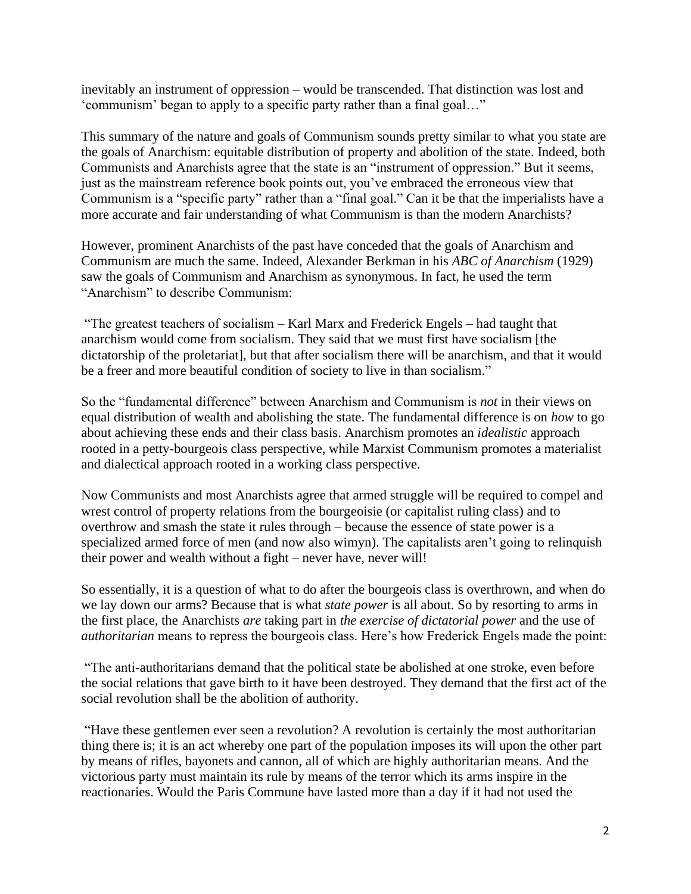inevitably an instrument of oppression – would be transcended. That distinction was lost and 'communism' began to apply to a specific party rather than a final goal…"

This summary of the nature and goals of Communism sounds pretty similar to what you state are the goals of Anarchism: equitable distribution of property and abolition of the state. Indeed, both Communists and Anarchists agree that the state is an "instrument of oppression." But it seems, just as the mainstream reference book points out, you've embraced the erroneous view that Communism is a "specific party" rather than a "final goal." Can it be that the imperialists have a more accurate and fair understanding of what Communism is than the modern Anarchists?

However, prominent Anarchists of the past have conceded that the goals of Anarchism and Communism are much the same. Indeed, Alexander Berkman in his *ABC of Anarchism* (1929) saw the goals of Communism and Anarchism as synonymous. In fact, he used the term "Anarchism" to describe Communism:

"The greatest teachers of socialism – Karl Marx and Frederick Engels – had taught that anarchism would come from socialism. They said that we must first have socialism [the dictatorship of the proletariat], but that after socialism there will be anarchism, and that it would be a freer and more beautiful condition of society to live in than socialism."

So the "fundamental difference" between Anarchism and Communism is *not* in their views on equal distribution of wealth and abolishing the state. The fundamental difference is on *how* to go about achieving these ends and their class basis. Anarchism promotes an *idealistic* approach rooted in a petty-bourgeois class perspective, while Marxist Communism promotes a materialist and dialectical approach rooted in a working class perspective.

Now Communists and most Anarchists agree that armed struggle will be required to compel and wrest control of property relations from the bourgeoisie (or capitalist ruling class) and to overthrow and smash the state it rules through – because the essence of state power is a specialized armed force of men (and now also wimyn). The capitalists aren't going to relinquish their power and wealth without a fight – never have, never will!

So essentially, it is a question of what to do after the bourgeois class is overthrown, and when do we lay down our arms? Because that is what *state power* is all about. So by resorting to arms in the first place, the Anarchists *are* taking part in *the exercise of dictatorial power* and the use of *authoritarian* means to repress the bourgeois class. Here's how Frederick Engels made the point:

"The anti-authoritarians demand that the political state be abolished at one stroke, even before the social relations that gave birth to it have been destroyed. They demand that the first act of the social revolution shall be the abolition of authority.

"Have these gentlemen ever seen a revolution? A revolution is certainly the most authoritarian thing there is; it is an act whereby one part of the population imposes its will upon the other part by means of rifles, bayonets and cannon, all of which are highly authoritarian means. And the victorious party must maintain its rule by means of the terror which its arms inspire in the reactionaries. Would the Paris Commune have lasted more than a day if it had not used the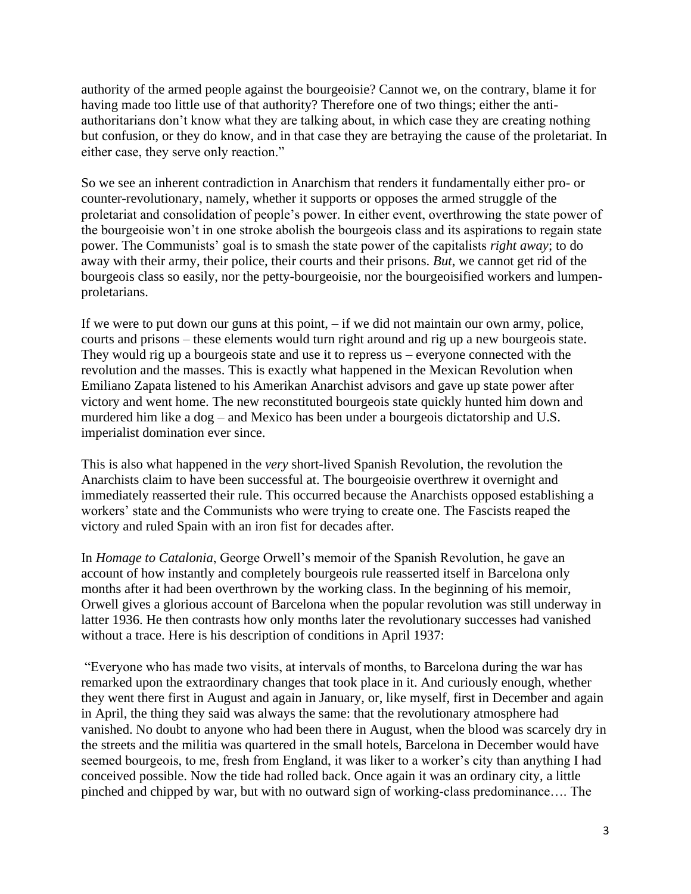authority of the armed people against the bourgeoisie? Cannot we, on the contrary, blame it for having made too little use of that authority? Therefore one of two things; either the antiauthoritarians don't know what they are talking about, in which case they are creating nothing but confusion, or they do know, and in that case they are betraying the cause of the proletariat. In either case, they serve only reaction."

So we see an inherent contradiction in Anarchism that renders it fundamentally either pro- or counter-revolutionary, namely, whether it supports or opposes the armed struggle of the proletariat and consolidation of people's power. In either event, overthrowing the state power of the bourgeoisie won't in one stroke abolish the bourgeois class and its aspirations to regain state power. The Communists' goal is to smash the state power of the capitalists *right away*; to do away with their army, their police, their courts and their prisons. *But*, we cannot get rid of the bourgeois class so easily, nor the petty-bourgeoisie, nor the bourgeoisified workers and lumpenproletarians.

If we were to put down our guns at this point, – if we did not maintain our own army, police, courts and prisons – these elements would turn right around and rig up a new bourgeois state. They would rig up a bourgeois state and use it to repress us – everyone connected with the revolution and the masses. This is exactly what happened in the Mexican Revolution when Emiliano Zapata listened to his Amerikan Anarchist advisors and gave up state power after victory and went home. The new reconstituted bourgeois state quickly hunted him down and murdered him like a dog – and Mexico has been under a bourgeois dictatorship and U.S. imperialist domination ever since.

This is also what happened in the *very* short-lived Spanish Revolution, the revolution the Anarchists claim to have been successful at. The bourgeoisie overthrew it overnight and immediately reasserted their rule. This occurred because the Anarchists opposed establishing a workers' state and the Communists who were trying to create one. The Fascists reaped the victory and ruled Spain with an iron fist for decades after.

In *Homage to Catalonia*, George Orwell's memoir of the Spanish Revolution, he gave an account of how instantly and completely bourgeois rule reasserted itself in Barcelona only months after it had been overthrown by the working class. In the beginning of his memoir, Orwell gives a glorious account of Barcelona when the popular revolution was still underway in latter 1936. He then contrasts how only months later the revolutionary successes had vanished without a trace. Here is his description of conditions in April 1937:

"Everyone who has made two visits, at intervals of months, to Barcelona during the war has remarked upon the extraordinary changes that took place in it. And curiously enough, whether they went there first in August and again in January, or, like myself, first in December and again in April, the thing they said was always the same: that the revolutionary atmosphere had vanished. No doubt to anyone who had been there in August, when the blood was scarcely dry in the streets and the militia was quartered in the small hotels, Barcelona in December would have seemed bourgeois, to me, fresh from England, it was liker to a worker's city than anything I had conceived possible. Now the tide had rolled back. Once again it was an ordinary city, a little pinched and chipped by war, but with no outward sign of working-class predominance…. The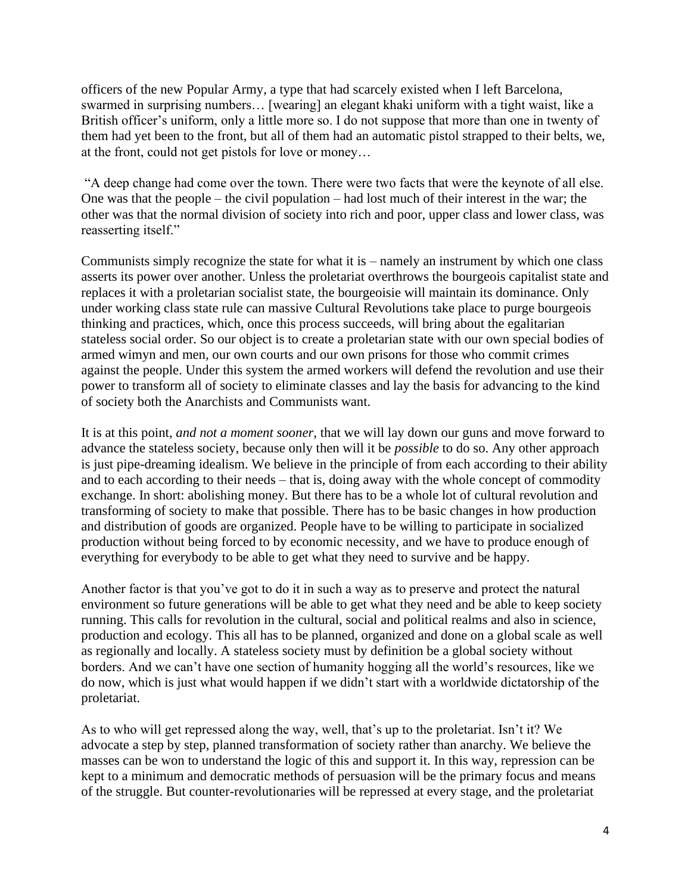officers of the new Popular Army, a type that had scarcely existed when I left Barcelona, swarmed in surprising numbers… [wearing] an elegant khaki uniform with a tight waist, like a British officer's uniform, only a little more so. I do not suppose that more than one in twenty of them had yet been to the front, but all of them had an automatic pistol strapped to their belts, we, at the front, could not get pistols for love or money…

"A deep change had come over the town. There were two facts that were the keynote of all else. One was that the people – the civil population – had lost much of their interest in the war; the other was that the normal division of society into rich and poor, upper class and lower class, was reasserting itself."

Communists simply recognize the state for what it is – namely an instrument by which one class asserts its power over another. Unless the proletariat overthrows the bourgeois capitalist state and replaces it with a proletarian socialist state, the bourgeoisie will maintain its dominance. Only under working class state rule can massive Cultural Revolutions take place to purge bourgeois thinking and practices, which, once this process succeeds, will bring about the egalitarian stateless social order. So our object is to create a proletarian state with our own special bodies of armed wimyn and men, our own courts and our own prisons for those who commit crimes against the people. Under this system the armed workers will defend the revolution and use their power to transform all of society to eliminate classes and lay the basis for advancing to the kind of society both the Anarchists and Communists want.

It is at this point, *and not a moment sooner*, that we will lay down our guns and move forward to advance the stateless society, because only then will it be *possible* to do so. Any other approach is just pipe-dreaming idealism. We believe in the principle of from each according to their ability and to each according to their needs – that is, doing away with the whole concept of commodity exchange. In short: abolishing money. But there has to be a whole lot of cultural revolution and transforming of society to make that possible. There has to be basic changes in how production and distribution of goods are organized. People have to be willing to participate in socialized production without being forced to by economic necessity, and we have to produce enough of everything for everybody to be able to get what they need to survive and be happy.

Another factor is that you've got to do it in such a way as to preserve and protect the natural environment so future generations will be able to get what they need and be able to keep society running. This calls for revolution in the cultural, social and political realms and also in science, production and ecology. This all has to be planned, organized and done on a global scale as well as regionally and locally. A stateless society must by definition be a global society without borders. And we can't have one section of humanity hogging all the world's resources, like we do now, which is just what would happen if we didn't start with a worldwide dictatorship of the proletariat.

As to who will get repressed along the way, well, that's up to the proletariat. Isn't it? We advocate a step by step, planned transformation of society rather than anarchy. We believe the masses can be won to understand the logic of this and support it. In this way, repression can be kept to a minimum and democratic methods of persuasion will be the primary focus and means of the struggle. But counter-revolutionaries will be repressed at every stage, and the proletariat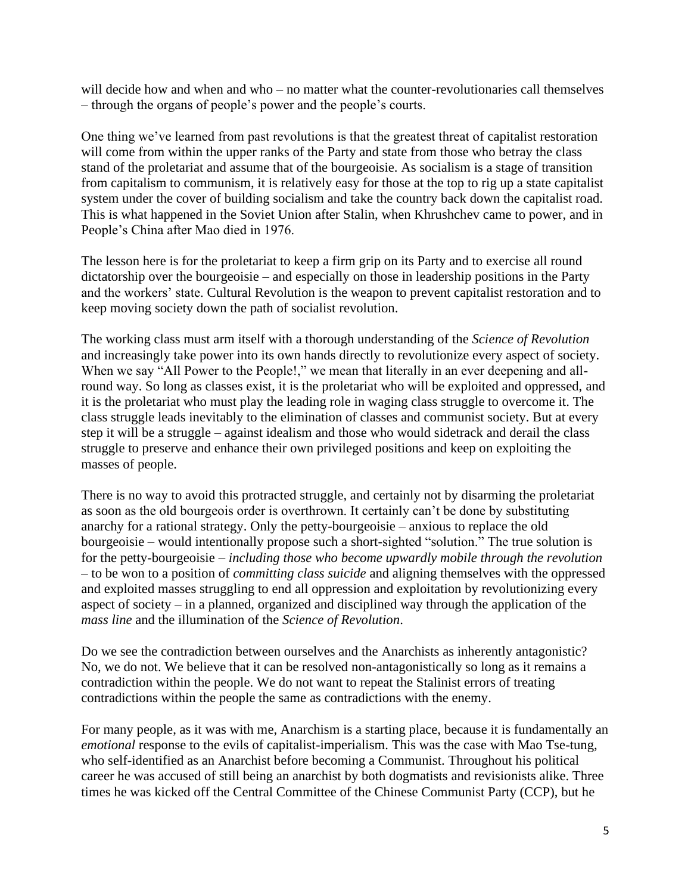will decide how and when and who – no matter what the counter-revolutionaries call themselves – through the organs of people's power and the people's courts.

One thing we've learned from past revolutions is that the greatest threat of capitalist restoration will come from within the upper ranks of the Party and state from those who betray the class stand of the proletariat and assume that of the bourgeoisie. As socialism is a stage of transition from capitalism to communism, it is relatively easy for those at the top to rig up a state capitalist system under the cover of building socialism and take the country back down the capitalist road. This is what happened in the Soviet Union after Stalin, when Khrushchev came to power, and in People's China after Mao died in 1976.

The lesson here is for the proletariat to keep a firm grip on its Party and to exercise all round dictatorship over the bourgeoisie – and especially on those in leadership positions in the Party and the workers' state. Cultural Revolution is the weapon to prevent capitalist restoration and to keep moving society down the path of socialist revolution.

The working class must arm itself with a thorough understanding of the *Science of Revolution* and increasingly take power into its own hands directly to revolutionize every aspect of society. When we say "All Power to the People!," we mean that literally in an ever deepening and allround way. So long as classes exist, it is the proletariat who will be exploited and oppressed, and it is the proletariat who must play the leading role in waging class struggle to overcome it. The class struggle leads inevitably to the elimination of classes and communist society. But at every step it will be a struggle – against idealism and those who would sidetrack and derail the class struggle to preserve and enhance their own privileged positions and keep on exploiting the masses of people.

There is no way to avoid this protracted struggle, and certainly not by disarming the proletariat as soon as the old bourgeois order is overthrown. It certainly can't be done by substituting anarchy for a rational strategy. Only the petty-bourgeoisie – anxious to replace the old bourgeoisie – would intentionally propose such a short-sighted "solution." The true solution is for the petty-bourgeoisie – *including those who become upwardly mobile through the revolution* – to be won to a position of *committing class suicide* and aligning themselves with the oppressed and exploited masses struggling to end all oppression and exploitation by revolutionizing every aspect of society – in a planned, organized and disciplined way through the application of the *mass line* and the illumination of the *Science of Revolution*.

Do we see the contradiction between ourselves and the Anarchists as inherently antagonistic? No, we do not. We believe that it can be resolved non-antagonistically so long as it remains a contradiction within the people. We do not want to repeat the Stalinist errors of treating contradictions within the people the same as contradictions with the enemy.

For many people, as it was with me, Anarchism is a starting place, because it is fundamentally an *emotional* response to the evils of capitalist-imperialism. This was the case with Mao Tse-tung, who self-identified as an Anarchist before becoming a Communist. Throughout his political career he was accused of still being an anarchist by both dogmatists and revisionists alike. Three times he was kicked off the Central Committee of the Chinese Communist Party (CCP), but he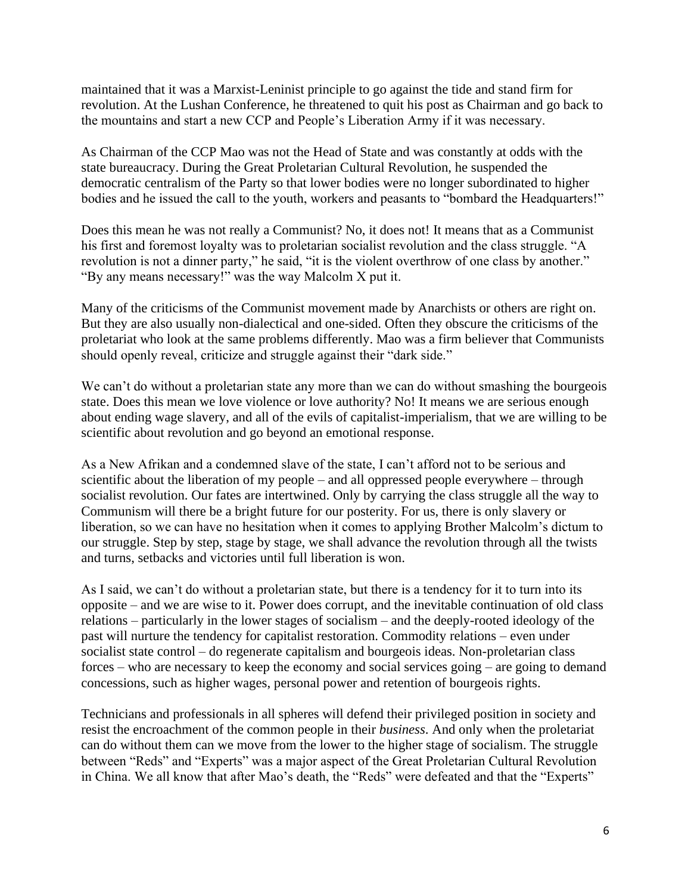maintained that it was a Marxist-Leninist principle to go against the tide and stand firm for revolution. At the Lushan Conference, he threatened to quit his post as Chairman and go back to the mountains and start a new CCP and People's Liberation Army if it was necessary.

As Chairman of the CCP Mao was not the Head of State and was constantly at odds with the state bureaucracy. During the Great Proletarian Cultural Revolution, he suspended the democratic centralism of the Party so that lower bodies were no longer subordinated to higher bodies and he issued the call to the youth, workers and peasants to "bombard the Headquarters!"

Does this mean he was not really a Communist? No, it does not! It means that as a Communist his first and foremost loyalty was to proletarian socialist revolution and the class struggle. "A revolution is not a dinner party," he said, "it is the violent overthrow of one class by another." "By any means necessary!" was the way Malcolm X put it.

Many of the criticisms of the Communist movement made by Anarchists or others are right on. But they are also usually non-dialectical and one-sided. Often they obscure the criticisms of the proletariat who look at the same problems differently. Mao was a firm believer that Communists should openly reveal, criticize and struggle against their "dark side."

We can't do without a proletarian state any more than we can do without smashing the bourgeois state. Does this mean we love violence or love authority? No! It means we are serious enough about ending wage slavery, and all of the evils of capitalist-imperialism, that we are willing to be scientific about revolution and go beyond an emotional response.

As a New Afrikan and a condemned slave of the state, I can't afford not to be serious and scientific about the liberation of my people – and all oppressed people everywhere – through socialist revolution. Our fates are intertwined. Only by carrying the class struggle all the way to Communism will there be a bright future for our posterity. For us, there is only slavery or liberation, so we can have no hesitation when it comes to applying Brother Malcolm's dictum to our struggle. Step by step, stage by stage, we shall advance the revolution through all the twists and turns, setbacks and victories until full liberation is won.

As I said, we can't do without a proletarian state, but there is a tendency for it to turn into its opposite – and we are wise to it. Power does corrupt, and the inevitable continuation of old class relations – particularly in the lower stages of socialism – and the deeply-rooted ideology of the past will nurture the tendency for capitalist restoration. Commodity relations – even under socialist state control – do regenerate capitalism and bourgeois ideas. Non-proletarian class forces – who are necessary to keep the economy and social services going – are going to demand concessions, such as higher wages, personal power and retention of bourgeois rights.

Technicians and professionals in all spheres will defend their privileged position in society and resist the encroachment of the common people in their *business*. And only when the proletariat can do without them can we move from the lower to the higher stage of socialism. The struggle between "Reds" and "Experts" was a major aspect of the Great Proletarian Cultural Revolution in China. We all know that after Mao's death, the "Reds" were defeated and that the "Experts"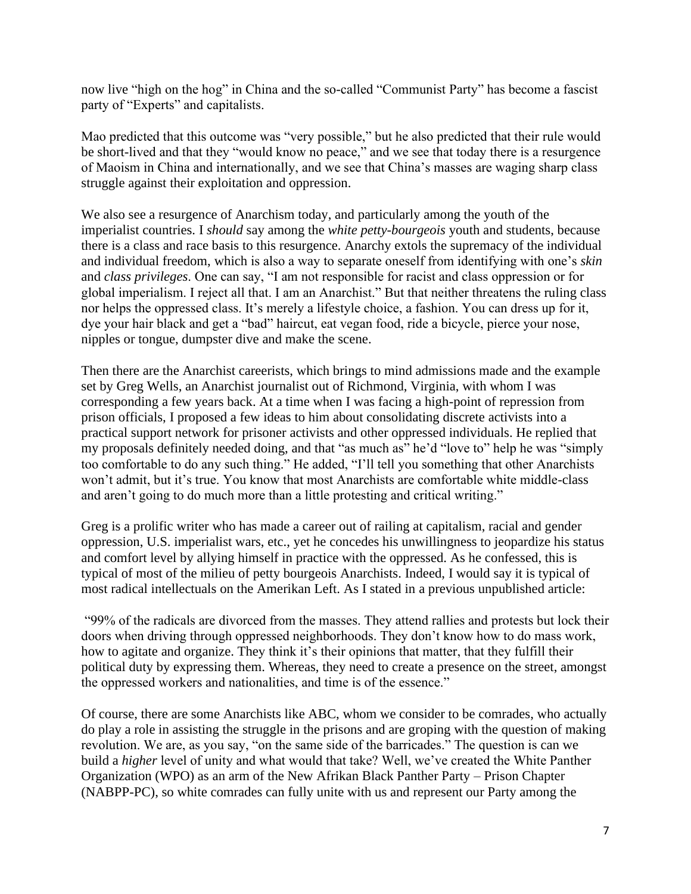now live "high on the hog" in China and the so-called "Communist Party" has become a fascist party of "Experts" and capitalists.

Mao predicted that this outcome was "very possible," but he also predicted that their rule would be short-lived and that they "would know no peace," and we see that today there is a resurgence of Maoism in China and internationally, and we see that China's masses are waging sharp class struggle against their exploitation and oppression.

We also see a resurgence of Anarchism today, and particularly among the youth of the imperialist countries. I *should* say among the *white petty-bourgeois* youth and students, because there is a class and race basis to this resurgence. Anarchy extols the supremacy of the individual and individual freedom, which is also a way to separate oneself from identifying with one's *skin* and *class privileges*. One can say, "I am not responsible for racist and class oppression or for global imperialism. I reject all that. I am an Anarchist." But that neither threatens the ruling class nor helps the oppressed class. It's merely a lifestyle choice, a fashion. You can dress up for it, dye your hair black and get a "bad" haircut, eat vegan food, ride a bicycle, pierce your nose, nipples or tongue, dumpster dive and make the scene.

Then there are the Anarchist careerists, which brings to mind admissions made and the example set by Greg Wells, an Anarchist journalist out of Richmond, Virginia, with whom I was corresponding a few years back. At a time when I was facing a high-point of repression from prison officials, I proposed a few ideas to him about consolidating discrete activists into a practical support network for prisoner activists and other oppressed individuals. He replied that my proposals definitely needed doing, and that "as much as" he'd "love to" help he was "simply too comfortable to do any such thing." He added, "I'll tell you something that other Anarchists won't admit, but it's true. You know that most Anarchists are comfortable white middle-class and aren't going to do much more than a little protesting and critical writing."

Greg is a prolific writer who has made a career out of railing at capitalism, racial and gender oppression, U.S. imperialist wars, etc., yet he concedes his unwillingness to jeopardize his status and comfort level by allying himself in practice with the oppressed. As he confessed, this is typical of most of the milieu of petty bourgeois Anarchists. Indeed, I would say it is typical of most radical intellectuals on the Amerikan Left. As I stated in a previous unpublished article:

"99% of the radicals are divorced from the masses. They attend rallies and protests but lock their doors when driving through oppressed neighborhoods. They don't know how to do mass work, how to agitate and organize. They think it's their opinions that matter, that they fulfill their political duty by expressing them. Whereas, they need to create a presence on the street, amongst the oppressed workers and nationalities, and time is of the essence."

Of course, there are some Anarchists like ABC, whom we consider to be comrades, who actually do play a role in assisting the struggle in the prisons and are groping with the question of making revolution. We are, as you say, "on the same side of the barricades." The question is can we build a *higher* level of unity and what would that take? Well, we've created the White Panther Organization (WPO) as an arm of the New Afrikan Black Panther Party – Prison Chapter (NABPP-PC), so white comrades can fully unite with us and represent our Party among the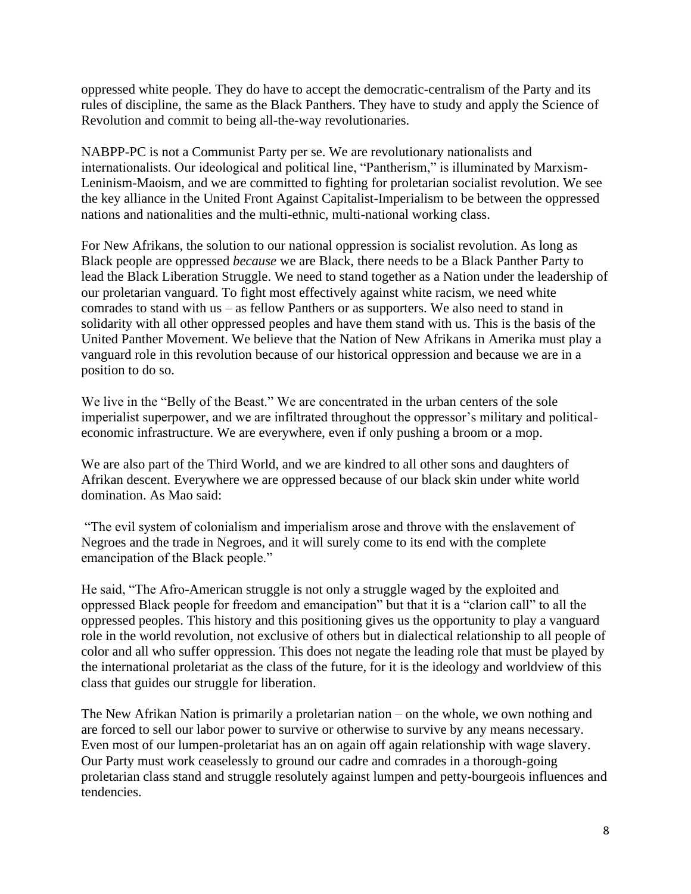oppressed white people. They do have to accept the democratic-centralism of the Party and its rules of discipline, the same as the Black Panthers. They have to study and apply the Science of Revolution and commit to being all-the-way revolutionaries.

NABPP-PC is not a Communist Party per se. We are revolutionary nationalists and internationalists. Our ideological and political line, "Pantherism," is illuminated by Marxism-Leninism-Maoism, and we are committed to fighting for proletarian socialist revolution. We see the key alliance in the United Front Against Capitalist-Imperialism to be between the oppressed nations and nationalities and the multi-ethnic, multi-national working class.

For New Afrikans, the solution to our national oppression is socialist revolution. As long as Black people are oppressed *because* we are Black, there needs to be a Black Panther Party to lead the Black Liberation Struggle. We need to stand together as a Nation under the leadership of our proletarian vanguard. To fight most effectively against white racism, we need white comrades to stand with us – as fellow Panthers or as supporters. We also need to stand in solidarity with all other oppressed peoples and have them stand with us. This is the basis of the United Panther Movement. We believe that the Nation of New Afrikans in Amerika must play a vanguard role in this revolution because of our historical oppression and because we are in a position to do so.

We live in the "Belly of the Beast." We are concentrated in the urban centers of the sole imperialist superpower, and we are infiltrated throughout the oppressor's military and politicaleconomic infrastructure. We are everywhere, even if only pushing a broom or a mop.

We are also part of the Third World, and we are kindred to all other sons and daughters of Afrikan descent. Everywhere we are oppressed because of our black skin under white world domination. As Mao said:

"The evil system of colonialism and imperialism arose and throve with the enslavement of Negroes and the trade in Negroes, and it will surely come to its end with the complete emancipation of the Black people."

He said, "The Afro-American struggle is not only a struggle waged by the exploited and oppressed Black people for freedom and emancipation" but that it is a "clarion call" to all the oppressed peoples. This history and this positioning gives us the opportunity to play a vanguard role in the world revolution, not exclusive of others but in dialectical relationship to all people of color and all who suffer oppression. This does not negate the leading role that must be played by the international proletariat as the class of the future, for it is the ideology and worldview of this class that guides our struggle for liberation.

The New Afrikan Nation is primarily a proletarian nation – on the whole, we own nothing and are forced to sell our labor power to survive or otherwise to survive by any means necessary. Even most of our lumpen-proletariat has an on again off again relationship with wage slavery. Our Party must work ceaselessly to ground our cadre and comrades in a thorough-going proletarian class stand and struggle resolutely against lumpen and petty-bourgeois influences and tendencies.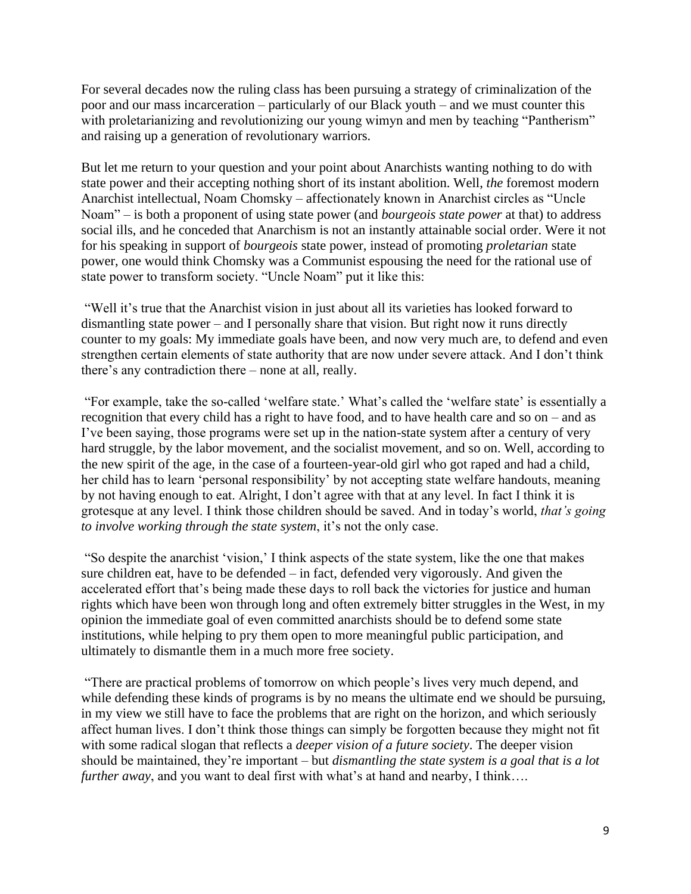For several decades now the ruling class has been pursuing a strategy of criminalization of the poor and our mass incarceration – particularly of our Black youth – and we must counter this with proletarianizing and revolutionizing our young wimyn and men by teaching "Pantherism" and raising up a generation of revolutionary warriors.

But let me return to your question and your point about Anarchists wanting nothing to do with state power and their accepting nothing short of its instant abolition. Well, *the* foremost modern Anarchist intellectual, Noam Chomsky – affectionately known in Anarchist circles as "Uncle Noam" – is both a proponent of using state power (and *bourgeois state power* at that) to address social ills, and he conceded that Anarchism is not an instantly attainable social order. Were it not for his speaking in support of *bourgeois* state power, instead of promoting *proletarian* state power, one would think Chomsky was a Communist espousing the need for the rational use of state power to transform society. "Uncle Noam" put it like this:

"Well it's true that the Anarchist vision in just about all its varieties has looked forward to dismantling state power – and I personally share that vision. But right now it runs directly counter to my goals: My immediate goals have been, and now very much are, to defend and even strengthen certain elements of state authority that are now under severe attack. And I don't think there's any contradiction there – none at all, really.

"For example, take the so-called 'welfare state.' What's called the 'welfare state' is essentially a recognition that every child has a right to have food, and to have health care and so on – and as I've been saying, those programs were set up in the nation-state system after a century of very hard struggle, by the labor movement, and the socialist movement, and so on. Well, according to the new spirit of the age, in the case of a fourteen-year-old girl who got raped and had a child, her child has to learn 'personal responsibility' by not accepting state welfare handouts, meaning by not having enough to eat. Alright, I don't agree with that at any level. In fact I think it is grotesque at any level. I think those children should be saved. And in today's world, *that's going to involve working through the state system*, it's not the only case.

"So despite the anarchist 'vision,' I think aspects of the state system, like the one that makes sure children eat, have to be defended – in fact, defended very vigorously. And given the accelerated effort that's being made these days to roll back the victories for justice and human rights which have been won through long and often extremely bitter struggles in the West, in my opinion the immediate goal of even committed anarchists should be to defend some state institutions, while helping to pry them open to more meaningful public participation, and ultimately to dismantle them in a much more free society.

"There are practical problems of tomorrow on which people's lives very much depend, and while defending these kinds of programs is by no means the ultimate end we should be pursuing, in my view we still have to face the problems that are right on the horizon, and which seriously affect human lives. I don't think those things can simply be forgotten because they might not fit with some radical slogan that reflects a *deeper vision of a future society*. The deeper vision should be maintained, they're important – but *dismantling the state system is a goal that is a lot further away*, and you want to deal first with what's at hand and nearby, I think….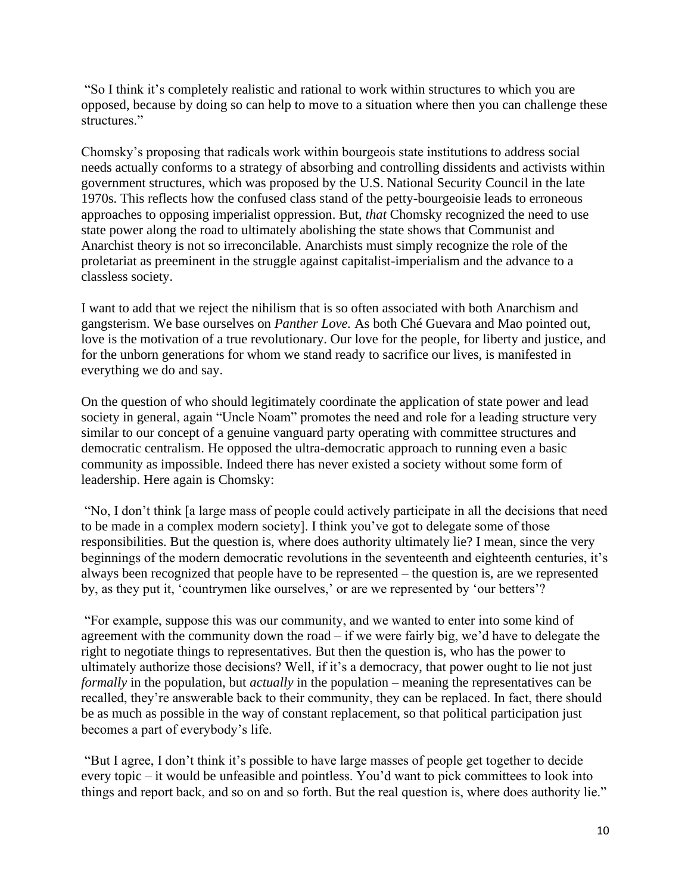"So I think it's completely realistic and rational to work within structures to which you are opposed, because by doing so can help to move to a situation where then you can challenge these structures."

Chomsky's proposing that radicals work within bourgeois state institutions to address social needs actually conforms to a strategy of absorbing and controlling dissidents and activists within government structures, which was proposed by the U.S. National Security Council in the late 1970s. This reflects how the confused class stand of the petty-bourgeoisie leads to erroneous approaches to opposing imperialist oppression. But, *that* Chomsky recognized the need to use state power along the road to ultimately abolishing the state shows that Communist and Anarchist theory is not so irreconcilable. Anarchists must simply recognize the role of the proletariat as preeminent in the struggle against capitalist-imperialism and the advance to a classless society.

I want to add that we reject the nihilism that is so often associated with both Anarchism and gangsterism. We base ourselves on *Panther Love.* As both Ché Guevara and Mao pointed out, love is the motivation of a true revolutionary. Our love for the people, for liberty and justice, and for the unborn generations for whom we stand ready to sacrifice our lives, is manifested in everything we do and say.

On the question of who should legitimately coordinate the application of state power and lead society in general, again "Uncle Noam" promotes the need and role for a leading structure very similar to our concept of a genuine vanguard party operating with committee structures and democratic centralism. He opposed the ultra-democratic approach to running even a basic community as impossible. Indeed there has never existed a society without some form of leadership. Here again is Chomsky:

"No, I don't think [a large mass of people could actively participate in all the decisions that need to be made in a complex modern society]. I think you've got to delegate some of those responsibilities. But the question is, where does authority ultimately lie? I mean, since the very beginnings of the modern democratic revolutions in the seventeenth and eighteenth centuries, it's always been recognized that people have to be represented – the question is, are we represented by, as they put it, 'countrymen like ourselves,' or are we represented by 'our betters'?

"For example, suppose this was our community, and we wanted to enter into some kind of agreement with the community down the road – if we were fairly big, we'd have to delegate the right to negotiate things to representatives. But then the question is, who has the power to ultimately authorize those decisions? Well, if it's a democracy, that power ought to lie not just *formally* in the population, but *actually* in the population – meaning the representatives can be recalled, they're answerable back to their community, they can be replaced. In fact, there should be as much as possible in the way of constant replacement, so that political participation just becomes a part of everybody's life.

"But I agree, I don't think it's possible to have large masses of people get together to decide every topic – it would be unfeasible and pointless. You'd want to pick committees to look into things and report back, and so on and so forth. But the real question is, where does authority lie."